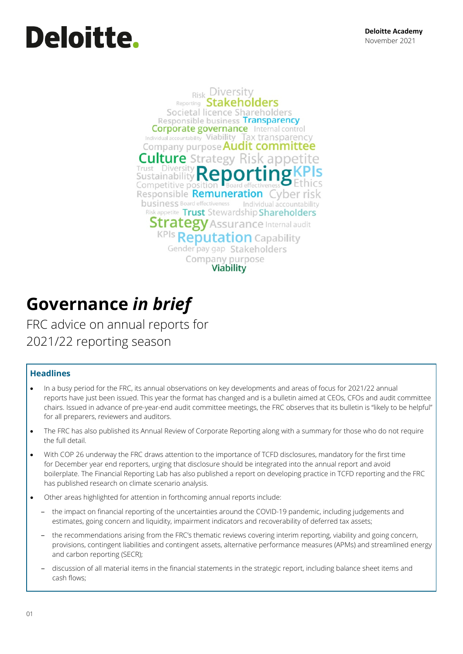# Deloitte.

**Risk Diversity Reporting Stakeholders** Societal licence Shareholders Responsible business Transparency **Corporate governance** Internal control Individual accountability Viability Tax transparency Company purpose **Audit committee Culture** Strategy Risk appe Trust Diversity Sustainability Competitive positic Responsible Remuneration yber r business Board effectiveness Individual accountability Risk appetite Trust Stewardship Shareholders **Strategy** Assurance Internal audit **KPIs Reputation Capability** Gender pay gap Stakeholders Company purpose **Viability** 

## **Governance** *in brief*

FRC advice on annual reports for 2021/22 reporting season

#### **Headlines**

- In a busy period for the FRC, its annual observations on key developments and areas of focus for 2021/22 annual reports have just been issued. This year the format has changed and is a bulletin aimed at CEOs, CFOs and audit committee chairs. Issued in advance of pre-year-end audit committee meetings, the FRC observes that its bulletin is "likely to be helpful" for all preparers, reviewers and auditors.
- The FRC has also published its Annual Review of Corporate Reporting along with a summary for those who do not require the full detail.
- With COP 26 underway the FRC draws attention to the importance of TCFD disclosures, mandatory for the first time for December year end reporters, urging that disclosure should be integrated into the annual report and avoid boilerplate. The Financial Reporting Lab has also published a report on developing practice in TCFD reporting and the FRC has published research on climate scenario analysis.
- Other areas highlighted for attention in forthcoming annual reports include:
	- ‒ the impact on financial reporting of the uncertainties around the COVID-19 pandemic, including judgements and estimates, going concern and liquidity, impairment indicators and recoverability of deferred tax assets;
	- ‒ the recommendations arising from the FRC's thematic reviews covering interim reporting, viability and going concern, provisions, contingent liabilities and contingent assets, alternative performance measures (APMs) and streamlined energy and carbon reporting (SECR);
	- ‒ discussion of all material items in the financial statements in the strategic report, including balance sheet items and cash flows;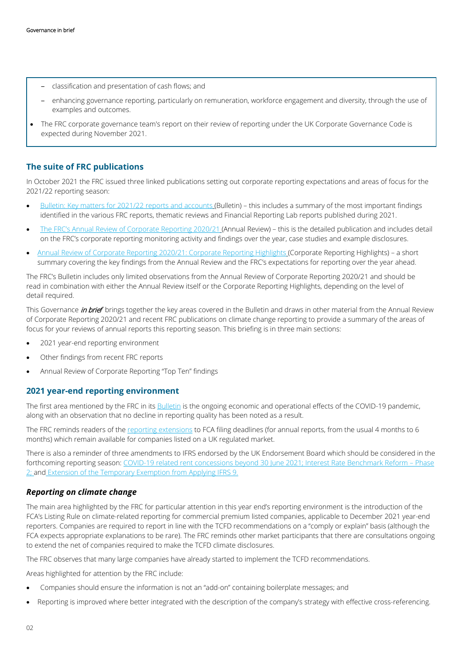- ‒ classification and presentation of cash flows; and
- ‒ enhancing governance reporting, particularly on remuneration, workforce engagement and diversity, through the use of examples and outcomes.
- The FRC corporate governance team's report on their review of reporting under the UK Corporate Governance Code is expected during November 2021.

#### **The suite of FRC publications**

In October 2021 the FRC issued three linked publications setting out corporate reporting expectations and areas of focus for the 2021/22 reporting season:

- [Bulletin: Key matters for 2021/22 reports and accounts](https://www.frc.org.uk/getattachment/ecd6d6b2-7f4d-4a70-bf60-32b07143ece1/FRC-CRR-Year-End-Key-Matters_October-2021.pdf) (Bulletin) this includes a summary of the most important findings identified in the various FRC reports, thematic reviews and Financial Reporting Lab reports published during 2021.
- [The FRC's Annual Review of Corporate Reporting 2020/21](https://www.frc.org.uk/getattachment/8430f391-6f44-4ec3-b1f8-c3d6b00c9a1e/FRC-CRR-Annual-Review_October-2021.pdf) (Annual Review) this is the detailed publication and includes detail on the FRC's corporate reporting monitoring activity and findings over the year, case studies and example disclosures.
- [Annual Review of Corporate Reporting 2020/21: Corporate Reporting Highlights](https://www.frc.org.uk/getattachment/187eaa07-0de8-40fb-b575-63673f2c638b/FRC-CRR-Annual-Review-Highlights_October-2021.pdf) (Corporate Reporting Highlights) a short summary covering the key findings from the Annual Review and the FRC's expectations for reporting over the year ahead.

The FRC's Bulletin includes only limited observations from the Annual Review of Corporate Reporting 2020/21 and should be read in combination with either the Annual Review itself or the Corporate Reporting Highlights, depending on the level of detail required.

This Governance *in brief* brings together the key areas covered in the Bulletin and draws in other material from the Annual Review of Corporate Reporting 2020/21 and recent FRC publications on climate change reporting to provide a summary of the areas of focus for your reviews of annual reports this reporting season. This briefing is in three main sections:

- 2021 year-end reporting environment
- Other findings from recent FRC reports
- Annual Review of Corporate Reporting "Top Ten" findings

#### **2021 year-end reporting environment**

The first area mentioned by the FRC in it[s Bulletin](https://www.frc.org.uk/getattachment/ecd6d6b2-7f4d-4a70-bf60-32b07143ece1/FRC-CRR-Year-End-Key-Matters_October-2021.pdf) is the ongoing economic and operational effects of the COVID-19 pandemic, along with an observation that no decline in reporting quality has been noted as a result.

The FRC reminds readers of the [reporting extensions t](https://www.frc.org.uk/about-the-frc/covid-19/covid19-joint-statement-26th-march-2020)o FCA filing deadlines (for annual reports, from the usual 4 months to 6 months) which remain available for companies listed on a UK regulated market.

There is also a reminder of three amendments to IFRS endorsed by the UK Endorsement Board which should be considered in the forthcoming reporting season[: COVID-19 related rent concessions beyond 30 June 2021;](https://www.iasplus.com/en-gb/news/2021/05/uk-adopts-ifrs-amendments-for-covid-19-related-rent-concessions-beyond-30-june-2021) Interest Rate Benchmark Reform – Phase [2;](https://www.iasplus.com/en-gb/publications/uk/need-to-know/2020/ntk-ibor-phase-2) and Extension of [the Temporary Exemption from Applying IFRS 9.](https://www.iasplus.com/en-gb/news/2020-en-gb/06/ifrs-17)

#### *Reporting on climate change*

The main area highlighted by the FRC for particular attention in this year end's reporting environment is the introduction of the FCA's Listing Rule on climate-related reporting for commercial premium listed companies, applicable to December 2021 year-end reporters. Companies are required to report in line with the TCFD recommendations on a "comply or explain" basis (although the FCA expects appropriate explanations to be rare). The FRC reminds other market participants that there are consultations ongoing to extend the net of companies required to make the TCFD climate disclosures.

The FRC observes that many large companies have already started to implement the TCFD recommendations.

Areas highlighted for attention by the FRC include:

- Companies should ensure the information is not an "add-on" containing boilerplate messages; and
- Reporting is improved where better integrated with the description of the company's strategy with effective cross-referencing.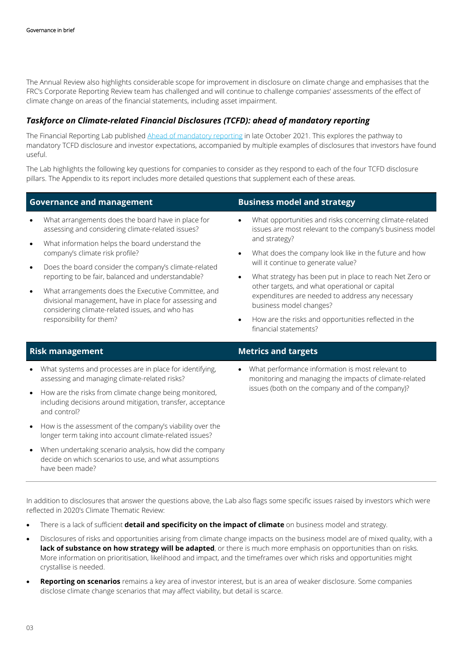The Annual Review also highlights considerable scope for improvement in disclosure on climate change and emphasises that the FRC's Corporate Reporting Review team has challenged and will continue to challenge companies' assessments of the effect of climate change on areas of the financial statements, including asset impairment.

#### *Taskforce on Climate-related Financial Disclosures (TCFD): ahead of mandatory reporting*

The Financial Reporting Lab publishe[d Ahead of mandatory reporting](https://www.frc.org.uk/getattachment/09b5627b-864b-48cb-ab53-8928b9dc72b7/FRCLab-TCFD-Report_October_2021.pdf) in late October 2021. This explores the pathway to mandatory TCFD disclosure and investor expectations, accompanied by multiple examples of disclosures that investors have found useful.

The Lab highlights the following key questions for companies to consider as they respond to each of the four TCFD disclosure pillars. The Appendix to its report includes more detailed questions that supplement each of these areas.

#### **Governance and management Business model and strategy**

- What arrangements does the board have in place for assessing and considering climate-related issues?
- What information helps the board understand the company's climate risk profile?
- Does the board consider the company's climate-related reporting to be fair, balanced and understandable?
- What arrangements does the Executive Committee, and divisional management, have in place for assessing and considering climate-related issues, and who has responsibility for them?

- What opportunities and risks concerning climate-related issues are most relevant to the company's business model and strategy?
- What does the company look like in the future and how will it continue to generate value?
- What strategy has been put in place to reach Net Zero or other targets, and what operational or capital expenditures are needed to address any necessary business model changes?
- How are the risks and opportunities reflected in the financial statements?

- What systems and processes are in place for identifying, assessing and managing climate-related risks?
- How are the risks from climate change being monitored, including decisions around mitigation, transfer, acceptance and control?
- How is the assessment of the company's viability over the longer term taking into account climate-related issues?
- When undertaking scenario analysis, how did the company decide on which scenarios to use, and what assumptions have been made?
- **Risk management Metrics and targets**
	- What performance information is most relevant to monitoring and managing the impacts of climate-related issues (both on the company and of the company)?

In addition to disclosures that answer the questions above, the Lab also flags some specific issues raised by investors which were reflected in 2020's Climate Thematic Review:

- There is a lack of sufficient **detail and specificity on the impact of climate** on business model and strategy.
- Disclosures of risks and opportunities arising from climate change impacts on the business model are of mixed quality, with a lack of substance on how strategy will be adapted, or there is much more emphasis on opportunities than on risks. More information on prioritisation, likelihood and impact, and the timeframes over which risks and opportunities might crystallise is needed.
- **Reporting on scenarios** remains a key area of investor interest, but is an area of weaker disclosure. Some companies disclose climate change scenarios that may affect viability, but detail is scarce.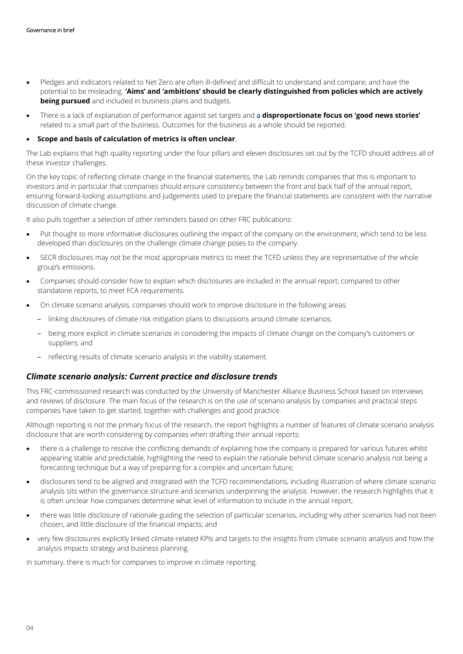- Pledges and indicators related to Net Zero are often ill-defined and difficult to understand and compare; and have the potential to be misleading. **'Aims' and 'ambitions' should be clearly distinguished from policies which are actively being pursued** and included in business plans and budgets.
- There is a lack of explanation of performance against set targets and a **disproportionate focus on 'good news stories'** related to a small part of the business. Outcomes for the business as a whole should be reported.

#### • **Scope and basis of calculation of metrics is often unclear**.

The Lab explains that high quality reporting under the four pillars and eleven disclosures set out by the TCFD should address all of these investor challenges.

On the key topic of reflecting climate change in the financial statements, the Lab reminds companies that this is important to investors and in particular that companies should ensure consistency between the front and back half of the annual report, ensuring forward-looking assumptions and judgements used to prepare the financial statements are consistent with the narrative discussion of climate change.

It also pulls together a selection of other reminders based on other FRC publications:

- Put thought to more informative disclosures outlining the impact of the company on the environment, which tend to be less developed than disclosures on the challenge climate change poses to the company.
- SECR disclosures may not be the most appropriate metrics to meet the TCFD unless they are representative of the whole group's emissions.
- Companies should consider how to explain which disclosures are included in the annual report, compared to other standalone reports, to meet FCA requirements.
- On climate scenario analysis, companies should work to improve disclosure in the following areas:
	- ‒ linking disclosures of climate risk mitigation plans to discussions around climate scenarios;
	- ‒ being more explicit in climate scenarios in considering the impacts of climate change on the company's customers or suppliers; and
	- reflecting results of climate scenario analysis in the viability statement.

#### *Climate scenario analysis: Current practice and disclosure trends*

This FRC-commissioned research was conducted by the University of Manchester Alliance Business School based on interviews and reviews of disclosure. The main focus of the research is on the use of scenario analysis by companies and practical steps companies have taken to get started, together with challenges and good practice.

Although reporting is not the primary focus of the research, the report highlights a number of features of climate scenario analysis disclosure that are worth considering by companies when drafting their annual reports:

- there is a challenge to resolve the conflicting demands of explaining how the company is prepared for various futures whilst appearing stable and predictable, highlighting the need to explain the rationale behind climate scenario analysis not being a forecasting technique but a way of preparing for a complex and uncertain future;
- disclosures tend to be aligned and integrated with the TCFD recommendations, including illustration of where climate scenario analysis sits within the governance structure and scenarios underpinning the analysis. However, the research highlights that it is often unclear how companies determine what level of information to include in the annual report;
- there was little disclosure of rationale guiding the selection of particular scenarios, including why other scenarios had not been chosen, and little disclosure of the financial impacts; and
- very few disclosures explicitly linked climate-related KPIs and targets to the insights from climate scenario analysis and how the analysis impacts strategy and business planning.

In summary, there is much for companies to improve in climate reporting.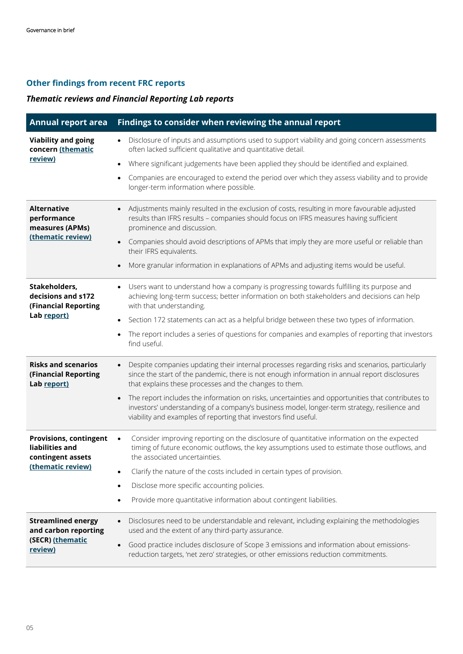## **Other findings from recent FRC reports**

### *Thematic reviews and Financial Reporting Lab reports*

| <b>Annual report area</b>                                                                  | Findings to consider when reviewing the annual report                                                                                                                                                                                                                   |
|--------------------------------------------------------------------------------------------|-------------------------------------------------------------------------------------------------------------------------------------------------------------------------------------------------------------------------------------------------------------------------|
| <b>Viability and going</b><br>concern (thematic<br>review)                                 | Disclosure of inputs and assumptions used to support viability and going concern assessments<br>$\bullet$<br>often lacked sufficient qualitative and quantitative detail.                                                                                               |
|                                                                                            | Where significant judgements have been applied they should be identified and explained.<br>$\bullet$                                                                                                                                                                    |
|                                                                                            | Companies are encouraged to extend the period over which they assess viability and to provide<br>$\bullet$<br>longer-term information where possible.                                                                                                                   |
| <b>Alternative</b><br>performance<br>measures (APMs)<br>(thematic review)                  | Adjustments mainly resulted in the exclusion of costs, resulting in more favourable adjusted<br>results than IFRS results - companies should focus on IFRS measures having sufficient<br>prominence and discussion.                                                     |
|                                                                                            | Companies should avoid descriptions of APMs that imply they are more useful or reliable than<br>their IFRS equivalents.                                                                                                                                                 |
|                                                                                            | More granular information in explanations of APMs and adjusting items would be useful.                                                                                                                                                                                  |
| Stakeholders,<br>decisions and s172<br>(Financial Reporting<br>Lab report)                 | Users want to understand how a company is progressing towards fulfilling its purpose and<br>$\bullet$<br>achieving long-term success; better information on both stakeholders and decisions can help<br>with that understanding.                                        |
|                                                                                            | Section 172 statements can act as a helpful bridge between these two types of information.                                                                                                                                                                              |
|                                                                                            | The report includes a series of questions for companies and examples of reporting that investors<br>find useful.                                                                                                                                                        |
| <b>Risks and scenarios</b><br>(Financial Reporting<br>Lab report)                          | Despite companies updating their internal processes regarding risks and scenarios, particularly<br>$\bullet$<br>since the start of the pandemic, there is not enough information in annual report disclosures<br>that explains these processes and the changes to them. |
|                                                                                            | The report includes the information on risks, uncertainties and opportunities that contributes to<br>investors' understanding of a company's business model, longer-term strategy, resilience and<br>viability and examples of reporting that investors find useful.    |
| <b>Provisions, contingent</b><br>liabilities and<br>contingent assets<br>(thematic review) | Consider improving reporting on the disclosure of quantitative information on the expected<br>$\bullet$<br>timing of future economic outflows, the key assumptions used to estimate those outflows, and<br>the associated uncertainties.                                |
|                                                                                            | Clarify the nature of the costs included in certain types of provision.                                                                                                                                                                                                 |
|                                                                                            | Disclose more specific accounting policies.<br>$\bullet$                                                                                                                                                                                                                |
|                                                                                            | Provide more quantitative information about contingent liabilities.<br>$\bullet$                                                                                                                                                                                        |
| <b>Streamlined energy</b><br>and carbon reporting<br>(SECR) (thematic<br>review)           | Disclosures need to be understandable and relevant, including explaining the methodologies<br>used and the extent of any third-party assurance.                                                                                                                         |
|                                                                                            | Good practice includes disclosure of Scope 3 emissions and information about emissions-<br>reduction targets, 'net zero' strategies, or other emissions reduction commitments.                                                                                          |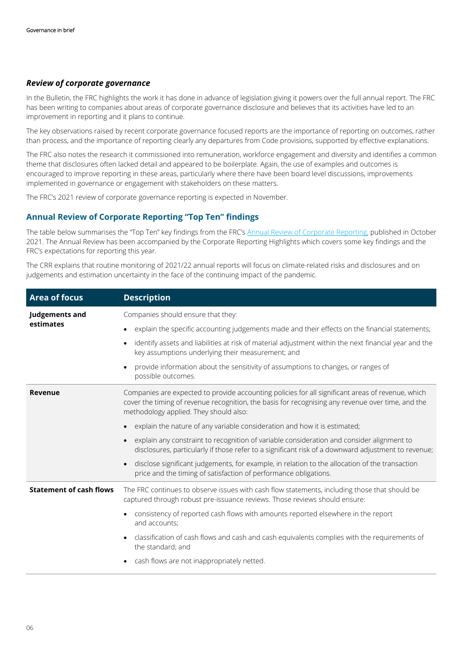#### *Review of corporate governance*

In the Bulletin, the FRC highlights the work it has done in advance of legislation giving it powers over the full annual report. The FRC has been writing to companies about areas of corporate governance disclosure and believes that its activities have led to an improvement in reporting and it plans to continue.

The key observations raised by recent corporate governance focused reports are the importance of reporting on outcomes, rather than process, and the importance of reporting clearly any departures from Code provisions, supported by effective explanations.

The FRC also notes the research it commissioned into remuneration, workforce engagement and diversity and identifies a common theme that disclosures often lacked detail and appeared to be boilerplate. Again, the use of examples and outcomes is encouraged to improve reporting in these areas, particularly where there have been board level discussions, improvements implemented in governance or engagement with stakeholders on these matters.

The FRC's 2021 review of corporate governance reporting is expected in November.

#### **Annual Review of Corporate Reporting "Top Ten" findings**

The table below summarises the "Top Ten" key findings from the FRC's [Annual Review of Corporate Reporting,](https://www.frc.org.uk/getattachment/8430f391-6f44-4ec3-b1f8-c3d6b00c9a1e/FRC-CRR-Annual-Review_October-2021.pdf) published in October 2021. The Annual Review has been accompanied by the Corporate Reporting Highlights which covers some key findings and the FRC's expectations for reporting this year.

The CRR explains that routine monitoring of 2021/22 annual reports will focus on climate-related risks and disclosures and on judgements and estimation uncertainty in the face of the continuing impact of the pandemic.

| <b>Area of focus</b>           | <b>Description</b>                                                                                                                                                                                                                               |
|--------------------------------|--------------------------------------------------------------------------------------------------------------------------------------------------------------------------------------------------------------------------------------------------|
| Judgements and<br>estimates    | Companies should ensure that they:                                                                                                                                                                                                               |
|                                | explain the specific accounting judgements made and their effects on the financial statements;                                                                                                                                                   |
|                                | identify assets and liabilities at risk of material adjustment within the next financial year and the<br>$\bullet$<br>key assumptions underlying their measurement; and                                                                          |
|                                | provide information about the sensitivity of assumptions to changes, or ranges of<br>$\bullet$<br>possible outcomes.                                                                                                                             |
| Revenue                        | Companies are expected to provide accounting policies for all significant areas of revenue, which<br>cover the timing of revenue recognition, the basis for recognising any revenue over time, and the<br>methodology applied. They should also: |
|                                | explain the nature of any variable consideration and how it is estimated;                                                                                                                                                                        |
|                                | explain any constraint to recognition of variable consideration and consider alignment to<br>$\bullet$<br>disclosures, particularly if those refer to a significant risk of a downward adjustment to revenue;                                    |
|                                | disclose significant judgements, for example, in relation to the allocation of the transaction<br>$\bullet$<br>price and the timing of satisfaction of performance obligations.                                                                  |
| <b>Statement of cash flows</b> | The FRC continues to observe issues with cash flow statements, including those that should be<br>captured through robust pre-issuance reviews. Those reviews should ensure:                                                                      |
|                                | consistency of reported cash flows with amounts reported elsewhere in the report<br>$\bullet$<br>and accounts;                                                                                                                                   |
|                                | classification of cash flows and cash and cash equivalents complies with the requirements of<br>$\bullet$<br>the standard; and                                                                                                                   |
|                                | cash flows are not inappropriately netted.                                                                                                                                                                                                       |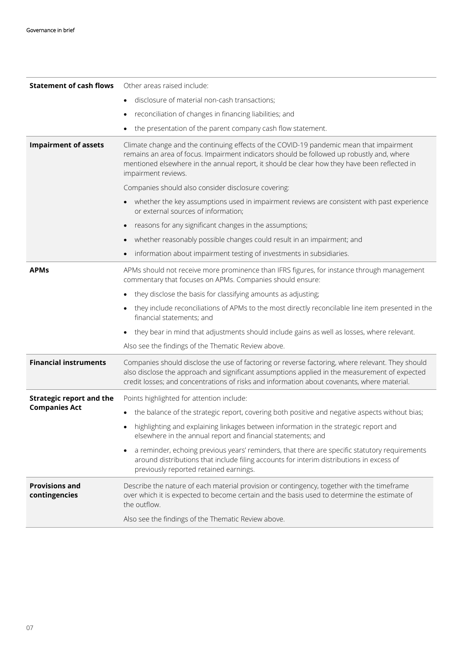| <b>Statement of cash flows</b>                          | Other areas raised include:                                                                                                                                                                                                                                                                                 |
|---------------------------------------------------------|-------------------------------------------------------------------------------------------------------------------------------------------------------------------------------------------------------------------------------------------------------------------------------------------------------------|
|                                                         | disclosure of material non-cash transactions;                                                                                                                                                                                                                                                               |
|                                                         | reconciliation of changes in financing liabilities; and                                                                                                                                                                                                                                                     |
|                                                         | the presentation of the parent company cash flow statement.                                                                                                                                                                                                                                                 |
| <b>Impairment of assets</b>                             | Climate change and the continuing effects of the COVID-19 pandemic mean that impairment<br>remains an area of focus. Impairment indicators should be followed up robustly and, where<br>mentioned elsewhere in the annual report, it should be clear how they have been reflected in<br>impairment reviews. |
|                                                         | Companies should also consider disclosure covering:                                                                                                                                                                                                                                                         |
|                                                         | • whether the key assumptions used in impairment reviews are consistent with past experience<br>or external sources of information;                                                                                                                                                                         |
|                                                         | reasons for any significant changes in the assumptions;                                                                                                                                                                                                                                                     |
|                                                         | whether reasonably possible changes could result in an impairment; and                                                                                                                                                                                                                                      |
|                                                         | information about impairment testing of investments in subsidiaries.                                                                                                                                                                                                                                        |
| <b>APMs</b>                                             | APMs should not receive more prominence than IFRS figures, for instance through management<br>commentary that focuses on APMs. Companies should ensure:                                                                                                                                                     |
|                                                         | they disclose the basis for classifying amounts as adjusting;                                                                                                                                                                                                                                               |
|                                                         | they include reconciliations of APMs to the most directly reconcilable line item presented in the<br>financial statements; and                                                                                                                                                                              |
|                                                         | they bear in mind that adjustments should include gains as well as losses, where relevant.                                                                                                                                                                                                                  |
|                                                         | Also see the findings of the Thematic Review above.                                                                                                                                                                                                                                                         |
| <b>Financial instruments</b>                            | Companies should disclose the use of factoring or reverse factoring, where relevant. They should<br>also disclose the approach and significant assumptions applied in the measurement of expected<br>credit losses; and concentrations of risks and information about covenants, where material.            |
| <b>Strategic report and the</b><br><b>Companies Act</b> | Points highlighted for attention include:                                                                                                                                                                                                                                                                   |
|                                                         | the balance of the strategic report, covering both positive and negative aspects without bias;<br>$\bullet$                                                                                                                                                                                                 |
|                                                         | highlighting and explaining linkages between information in the strategic report and<br>elsewhere in the annual report and financial statements; and                                                                                                                                                        |
|                                                         | a reminder, echoing previous years' reminders, that there are specific statutory requirements<br>around distributions that include filing accounts for interim distributions in excess of<br>previously reported retained earnings.                                                                         |
| <b>Provisions and</b><br>contingencies                  | Describe the nature of each material provision or contingency, together with the timeframe<br>over which it is expected to become certain and the basis used to determine the estimate of<br>the outflow.                                                                                                   |
|                                                         | Also see the findings of the Thematic Review above.                                                                                                                                                                                                                                                         |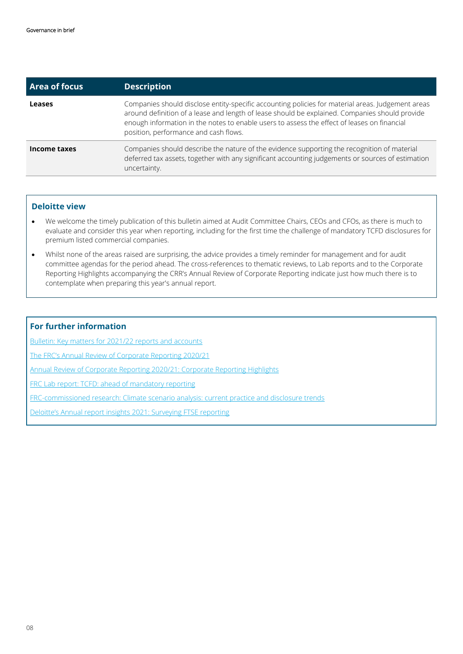| <b>Area of focus</b> | <b>Description</b>                                                                                                                                                                                                                                                                                                                          |
|----------------------|---------------------------------------------------------------------------------------------------------------------------------------------------------------------------------------------------------------------------------------------------------------------------------------------------------------------------------------------|
| <b>Leases</b>        | Companies should disclose entity-specific accounting policies for material areas. Judgement areas<br>around definition of a lease and length of lease should be explained. Companies should provide<br>enough information in the notes to enable users to assess the effect of leases on financial<br>position, performance and cash flows. |
| Income taxes         | Companies should describe the nature of the evidence supporting the recognition of material<br>deferred tax assets, together with any significant accounting judgements or sources of estimation<br>uncertainty.                                                                                                                            |

#### **Deloitte view**

- We welcome the timely publication of this bulletin aimed at Audit Committee Chairs, CEOs and CFOs, as there is much to evaluate and consider this year when reporting, including for the first time the challenge of mandatory TCFD disclosures for premium listed commercial companies.
- Whilst none of the areas raised are surprising, the advice provides a timely reminder for management and for audit committee agendas for the period ahead. The cross-references to thematic reviews, to Lab reports and to the Corporate Reporting Highlights accompanying the CRR's Annual Review of Corporate Reporting indicate just how much there is to contemplate when preparing this year's annual report.

#### **For further information**

[Bulletin: Key matters for 2021/22 reports and accounts](https://www.frc.org.uk/getattachment/ecd6d6b2-7f4d-4a70-bf60-32b07143ece1/FRC-CRR-Year-End-Key-Matters_October-2021.pdf)

[The FRC's Annual Review of Corporate Reporting 2020/21](https://www.frc.org.uk/getattachment/8430f391-6f44-4ec3-b1f8-c3d6b00c9a1e/FRC-CRR-Annual-Review_October-2021.pdf)

[Annual Review of Corporate Reporting 2020/21: Corporate Reporting Highlights](https://www.frc.org.uk/getattachment/187eaa07-0de8-40fb-b575-63673f2c638b/FRC-CRR-Annual-Review-Highlights_October-2021.pdf)

FRC Lab report[: TCFD: ahead of mandatory reporting](https://www.frc.org.uk/getattachment/09b5627b-864b-48cb-ab53-8928b9dc72b7/FRCLab-TCFD-Report_October_2021.pdf)

FRC-commissioned research: [Climate scenario analysis: current practice and disclosure trends](https://www.frc.org.uk/getattachment/0d28d5e8-ff89-4028-88a8-49e837db6022/FRC-Climate-Scenario-Analysis-in-Corporate-Reporting_October-2021.pdf)

Deloitte's [Annual report insights 2021: Surveying FTSE reporting](https://www2.deloitte.com/uk/en/pages/audit/articles/annual-report-insights-2021.html/)